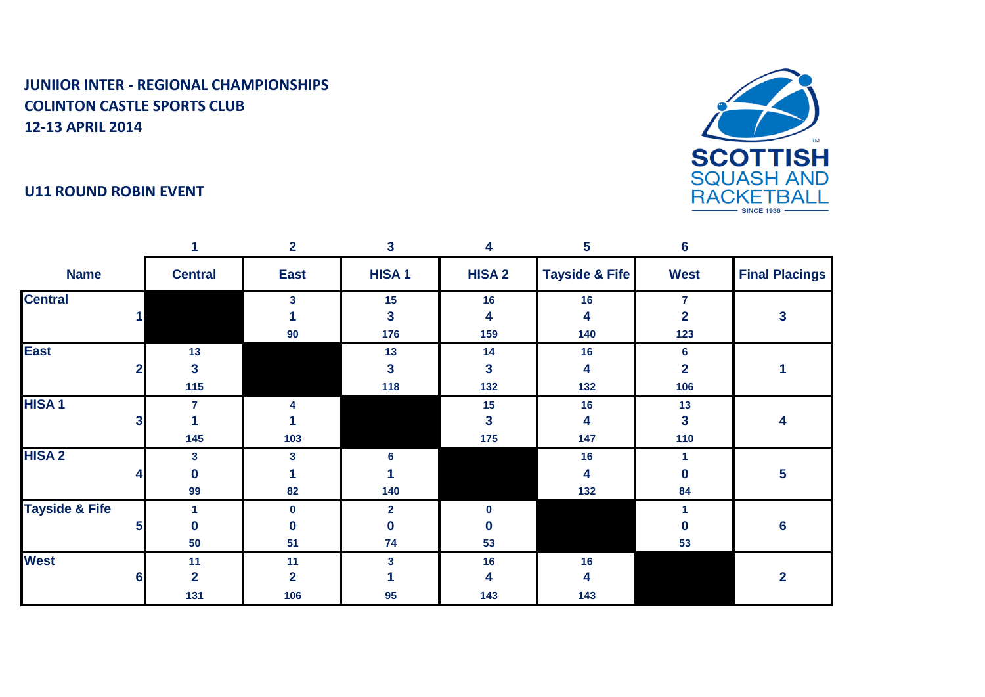



|                           |   |                | $\overline{2}$ | 3            | 4            | 5                         | $6\phantom{1}6$         |                       |
|---------------------------|---|----------------|----------------|--------------|--------------|---------------------------|-------------------------|-----------------------|
| <b>Name</b>               |   | <b>Central</b> | <b>East</b>    | <b>HISA1</b> | <b>HISA2</b> | <b>Tayside &amp; Fife</b> | <b>West</b>             | <b>Final Placings</b> |
| <b>Central</b>            |   |                | 3              | 15           | 16           | 16                        | $\overline{7}$          |                       |
|                           |   |                |                | $\mathbf{3}$ | 4            | 4                         | 2                       | 3                     |
|                           |   |                | 90             | 176          | 159          | 140                       | 123                     |                       |
| <b>East</b>               |   | 13             |                | 13           | 14           | 16                        | 6                       |                       |
|                           | 2 | $\mathbf{3}$   |                | $\mathbf{3}$ | 3            | 4                         | $\overline{\mathbf{2}}$ |                       |
|                           |   | 115            |                | 118          | 132          | 132                       | 106                     |                       |
| <b>HISA1</b>              |   | $\overline{7}$ |                |              | 15           | 16                        | 13                      |                       |
|                           | 3 |                |                |              | 3            | 4                         | 3                       | 4                     |
|                           |   | 145            | 103            |              | 175          | 147                       | 110                     |                       |
| <b>HISA2</b>              |   | 3              | 3              | 6            |              | 16                        |                         |                       |
|                           |   | $\bf{0}$       |                |              |              | 4                         | 0                       | 5                     |
|                           |   | 99             | 82             | 140          |              | 132                       | 84                      |                       |
| <b>Tayside &amp; Fife</b> |   |                | $\bf{0}$       | $\mathbf{2}$ |              |                           |                         |                       |
|                           | 5 | $\mathbf{0}$   | $\bf{0}$       | $\mathbf{0}$ |              |                           | n                       | $6\phantom{a}$        |
|                           |   | 50             | 51             | 74           | 53           |                           | 53                      |                       |
| <b>West</b>               |   | 11             | 11             | 3            | 16           | 16                        |                         |                       |
|                           | 6 | $\overline{2}$ | $\overline{2}$ |              | 4            | 4                         |                         | $\overline{2}$        |
|                           |   | 131            | 106            | 95           | 143          | 143                       |                         |                       |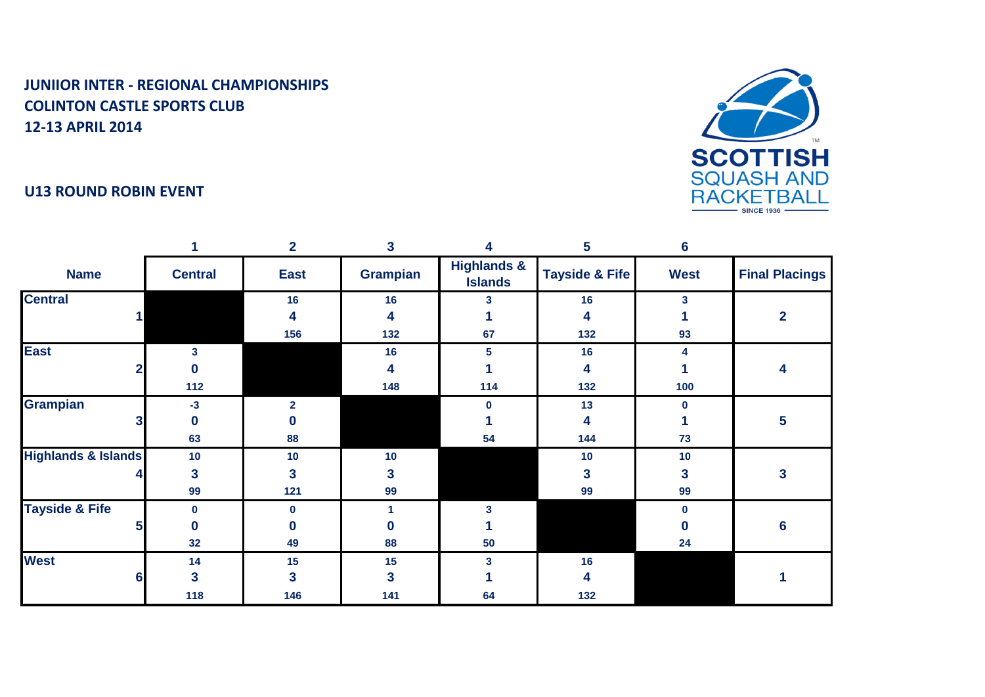



|                                |                | $\overline{2}$ | $\mathbf{3}$    | 4                                        | 5                         | $6\phantom{1}6$ |                       |
|--------------------------------|----------------|----------------|-----------------|------------------------------------------|---------------------------|-----------------|-----------------------|
| <b>Name</b>                    | <b>Central</b> | <b>East</b>    | <b>Grampian</b> | <b>Highlands &amp;</b><br><b>Islands</b> | <b>Tayside &amp; Fife</b> | <b>West</b>     | <b>Final Placings</b> |
| <b>Central</b>                 |                | 16             | 16              | з.                                       | 16                        | 3               |                       |
|                                |                | 4              | 4               |                                          | 4                         |                 | 2                     |
|                                |                | 156            | 132             | 67                                       | 132                       | 93              |                       |
| <b>East</b>                    | 3              |                | 16              | 5                                        | 16                        | 4               |                       |
|                                | 0              |                | 4               |                                          | 4                         |                 |                       |
|                                | 112            |                | 148             | 114                                      | 132                       | 100             |                       |
| <b>Grampian</b>                | $-3$           | $\overline{2}$ |                 | 0                                        | 13                        | 0               |                       |
|                                | 0              | $\bf{0}$       |                 |                                          | 4                         |                 | 5                     |
|                                | 63             | 88             |                 | 54                                       | 144                       | 73              |                       |
| <b>Highlands &amp; Islands</b> | 10             | 10             | 10              |                                          | 10                        | 10              |                       |
|                                | 3              | 3              | 3               |                                          | 3                         | 3               | 3                     |
|                                | 99             | 121            | 99              |                                          | 99                        | 99              |                       |
| <b>Tayside &amp; Fife</b>      | $\bf{0}$       | $\bf{0}$       |                 |                                          |                           | <sup>0</sup>    |                       |
|                                | 0              | $\Omega$       | 0               |                                          |                           |                 | 6                     |
|                                | 32             | 49             | 88              | 50                                       |                           | 24              |                       |
| <b>West</b>                    | 14             | 15             | 15              | 3                                        | 16                        |                 |                       |
| 6                              | 3              | 3              | 3               |                                          | 4                         |                 |                       |
|                                | 118            | 146            | 141             | 64                                       | 132                       |                 |                       |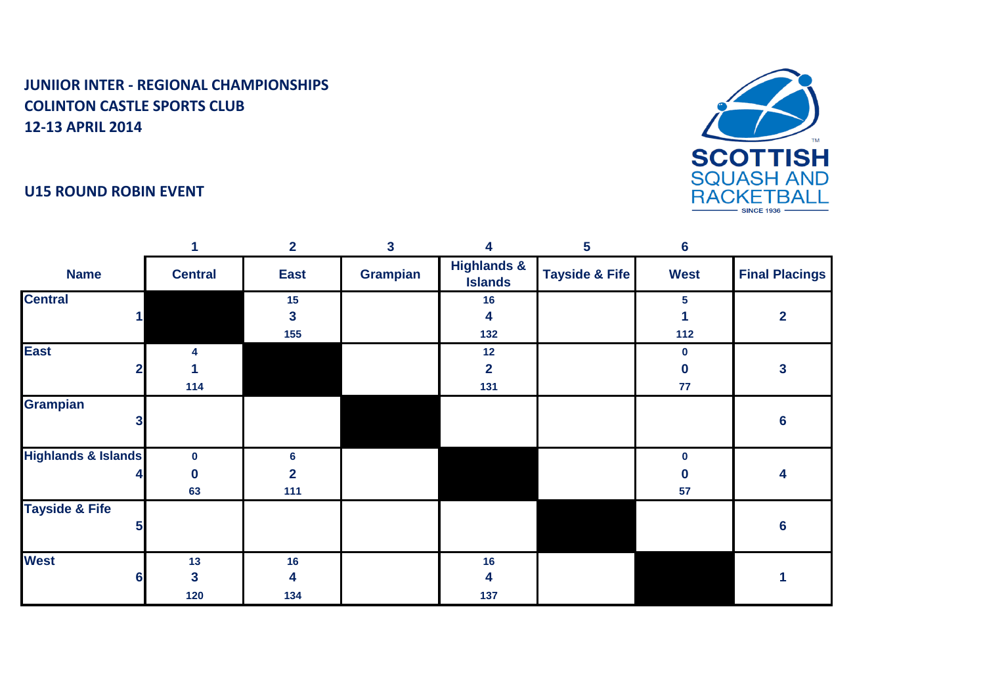

#### **U15 ROUND ROBIN EVENT**

|                                |                | $\overline{2}$          | $\overline{\mathbf{3}}$ | 4                                        | 5                         | $6\phantom{1}6$ |                         |
|--------------------------------|----------------|-------------------------|-------------------------|------------------------------------------|---------------------------|-----------------|-------------------------|
| <b>Name</b>                    | <b>Central</b> | <b>East</b>             | Grampian                | <b>Highlands &amp;</b><br><b>Islands</b> | <b>Tayside &amp; Fife</b> | <b>West</b>     | <b>Final Placings</b>   |
| <b>Central</b>                 |                | 15                      |                         | 16                                       |                           | 5               |                         |
|                                |                | 3                       |                         | 4                                        |                           |                 | $\overline{\mathbf{2}}$ |
|                                |                | 155                     |                         | 132                                      |                           | 112             |                         |
| <b>East</b>                    |                |                         |                         | 12                                       |                           | 0               |                         |
|                                |                |                         |                         | $\overline{2}$                           |                           | 0               | 3                       |
|                                | 114            |                         |                         | 131                                      |                           | 77              |                         |
| <b>Grampian</b>                |                |                         |                         |                                          |                           |                 |                         |
| 3                              |                |                         |                         |                                          |                           |                 | $6\phantom{1}6$         |
| <b>Highlands &amp; Islands</b> | $\mathbf 0$    | 6                       |                         |                                          |                           | $\mathbf 0$     |                         |
|                                | 0              | $\overline{\mathbf{2}}$ |                         |                                          |                           |                 | 4                       |
|                                | 63             | $111$                   |                         |                                          |                           | 57              |                         |
| <b>Tayside &amp; Fife</b>      |                |                         |                         |                                          |                           |                 |                         |
| 5                              |                |                         |                         |                                          |                           |                 | $6\phantom{1}6$         |
|                                |                |                         |                         |                                          |                           |                 |                         |
| <b>West</b>                    | 13             | 16                      |                         | 16                                       |                           |                 |                         |
| 6                              | 3              | 4                       |                         | 4                                        |                           |                 |                         |
|                                | 120            | 134                     |                         | 137                                      |                           |                 |                         |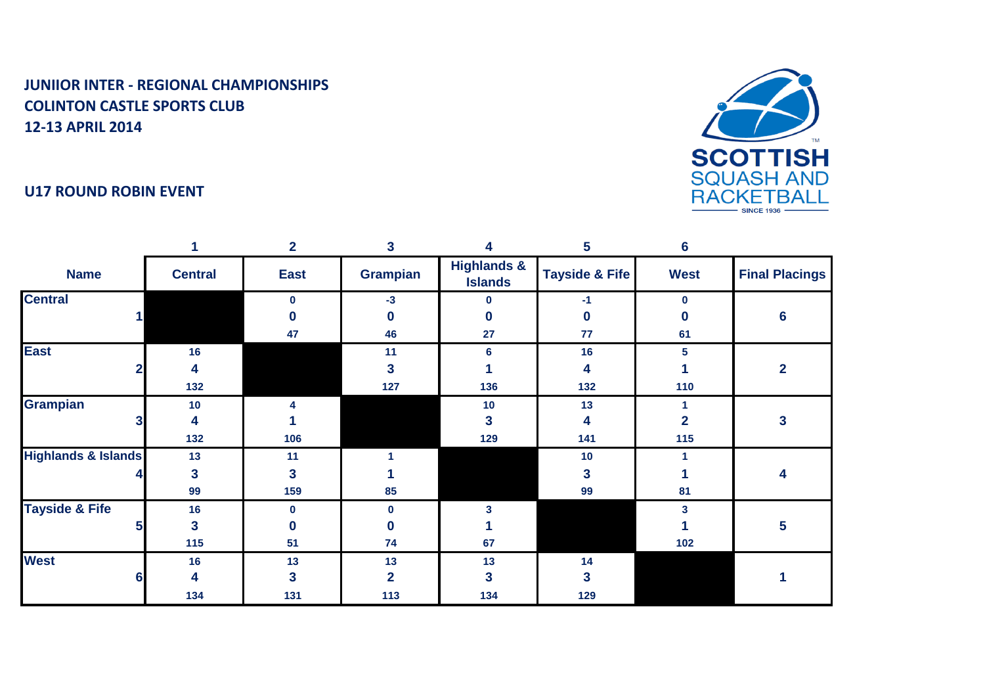



|                                |                | $\mathbf{2}$ | 3               | 4                                        | 5                         | $6\phantom{1}6$ |                         |
|--------------------------------|----------------|--------------|-----------------|------------------------------------------|---------------------------|-----------------|-------------------------|
| <b>Name</b>                    | <b>Central</b> | <b>East</b>  | <b>Grampian</b> | <b>Highlands &amp;</b><br><b>Islands</b> | <b>Tayside &amp; Fife</b> | <b>West</b>     | <b>Final Placings</b>   |
| <b>Central</b>                 |                | $\mathbf 0$  | $-3$            | n                                        | -1                        | $\bf{0}$        |                         |
|                                |                | O            | 0               |                                          | 0                         |                 | 6                       |
|                                |                | 47           | 46              | 27                                       | 77                        | 61              |                         |
| <b>East</b>                    | 16             |              | 11              | 6                                        | 16                        | 5               |                         |
| $\mathbf 2$                    | 4              |              | 3               |                                          | 4                         |                 | $\overline{\mathbf{2}}$ |
|                                | 132            |              | 127             | 136                                      | 132                       | 110             |                         |
| Grampian                       | 10             |              |                 | 10                                       | 13                        |                 |                         |
| 3                              | 4              |              |                 | 3                                        | 4                         | $\overline{2}$  | 3                       |
|                                | 132            | 106          |                 | 129                                      | 141                       | 115             |                         |
| <b>Highlands &amp; Islands</b> | 13             | 11           |                 |                                          | 10                        |                 |                         |
|                                | $\mathbf{3}$   | 3            |                 |                                          | 3                         |                 |                         |
|                                | 99             | 159          | 85              |                                          | 99                        | 81              |                         |
| <b>Tayside &amp; Fife</b>      | 16             | $\bf{0}$     | 0               |                                          |                           | 3               |                         |
| 5                              | 3              | $\Omega$     |                 |                                          |                           |                 | 5                       |
|                                | 115            | 51           | 74              | 67                                       |                           | 102             |                         |
| <b>West</b>                    | 16             | 13           | 13              | 13                                       | 14                        |                 |                         |
| 6                              | 4              | 3            | 2               |                                          | 3                         |                 |                         |
|                                | 134            | 131          | 113             | 134                                      | 129                       |                 |                         |